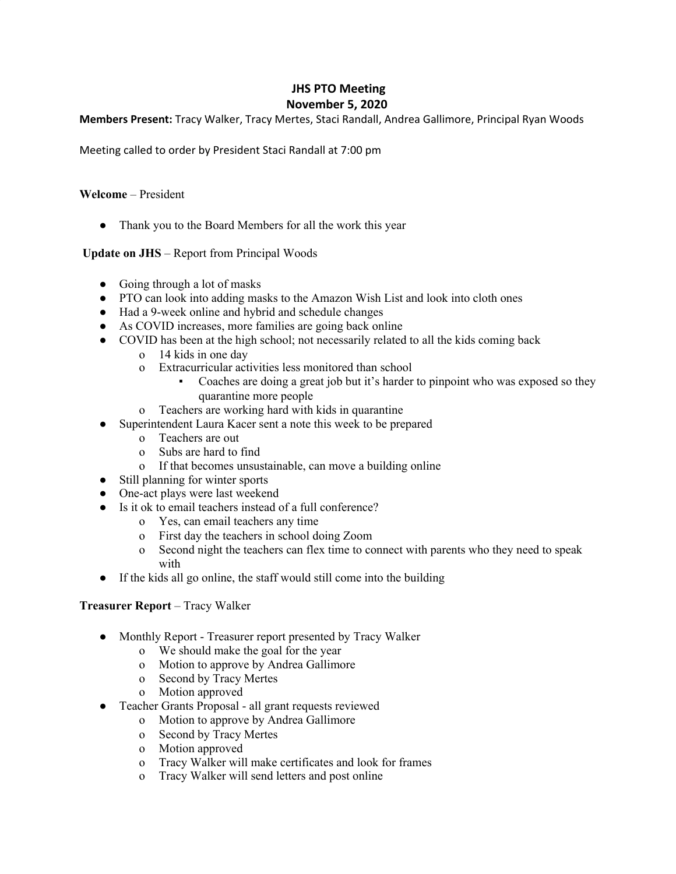# **JHS PTO Meeting November 5, 2020**

# **Members Present:** Tracy Walker, Tracy Mertes, Staci Randall, Andrea Gallimore, Principal Ryan Woods

Meeting called to order by President Staci Randall at 7:00 pm

# **Welcome** – President

• Thank you to the Board Members for all the work this year

# **Update on JHS** – Report from Principal Woods

- Going through a lot of masks
- PTO can look into adding masks to the Amazon Wish List and look into cloth ones
- Had a 9-week online and hybrid and schedule changes
- As COVID increases, more families are going back online
- COVID has been at the high school; not necessarily related to all the kids coming back
	- o 14 kids in one day
	- o Extracurricular activities less monitored than school
		- Coaches are doing a great job but it's harder to pinpoint who was exposed so they quarantine more people
	- o Teachers are working hard with kids in quarantine
- Superintendent Laura Kacer sent a note this week to be prepared
	- o Teachers are out
	- o Subs are hard to find
	- o If that becomes unsustainable, can move a building online
- Still planning for winter sports
- One-act plays were last weekend
- Is it ok to email teachers instead of a full conference?
	- o Yes, can email teachers any time
	- o First day the teachers in school doing Zoom
	- o Second night the teachers can flex time to connect with parents who they need to speak with
- If the kids all go online, the staff would still come into the building

#### **Treasurer Report** – Tracy Walker

- Monthly Report Treasurer report presented by Tracy Walker
	- o We should make the goal for the year
	- o Motion to approve by Andrea Gallimore
	- o Second by Tracy Mertes
	- o Motion approved
- Teacher Grants Proposal all grant requests reviewed
	- o Motion to approve by Andrea Gallimore
	- o Second by Tracy Mertes
	- o Motion approved
	- o Tracy Walker will make certificates and look for frames
	- o Tracy Walker will send letters and post online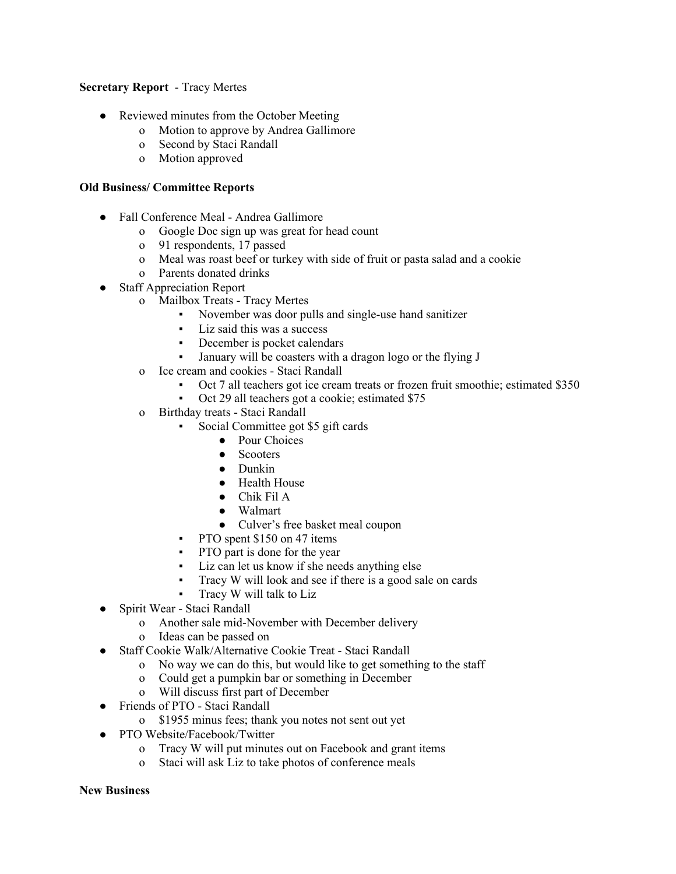#### **Secretary Report** - Tracy Mertes

- Reviewed minutes from the October Meeting
	- o Motion to approve by Andrea Gallimore
	- o Second by Staci Randall
	- o Motion approved

#### **Old Business/ Committee Reports**

- **●** Fall Conference Meal Andrea Gallimore
	- o Google Doc sign up was great for head count
	- o 91 respondents, 17 passed
	- o Meal was roast beef or turkey with side of fruit or pasta salad and a cookie
	- o Parents donated drinks
- Staff Appreciation Report
	- o Mailbox Treats Tracy Mertes
		- November was door pulls and single-use hand sanitizer
		- Liz said this was a success
		- December is pocket calendars
		- January will be coasters with a dragon logo or the flying J
	- o Ice cream and cookies Staci Randall
		- Oct 7 all teachers got ice cream treats or frozen fruit smoothie; estimated \$350
		- Oct 29 all teachers got a cookie; estimated \$75
	- o Birthday treats Staci Randall
		- Social Committee got \$5 gift cards
			- Pour Choices
			- Scooters
			- Dunkin
			- Health House
			- Chik Fil A
			- Walmart
			- Culver's free basket meal coupon
		- PTO spent \$150 on 47 items
		- PTO part is done for the year
		- Liz can let us know if she needs anything else
		- Tracy W will look and see if there is a good sale on cards
		- Tracy W will talk to Liz
- Spirit Wear Staci Randall
	- o Another sale mid-November with December delivery
	- o Ideas can be passed on
- **●** Staff Cookie Walk/Alternative Cookie Treat Staci Randall
	- o No way we can do this, but would like to get something to the staff
	- o Could get a pumpkin bar or something in December
	- o Will discuss first part of December
- **●** Friends of PTO Staci Randall
	- o \$1955 minus fees; thank you notes not sent out yet
- **●** PTO Website/Facebook/Twitter
	- o Tracy W will put minutes out on Facebook and grant items
	- o Staci will ask Liz to take photos of conference meals

#### **New Business**